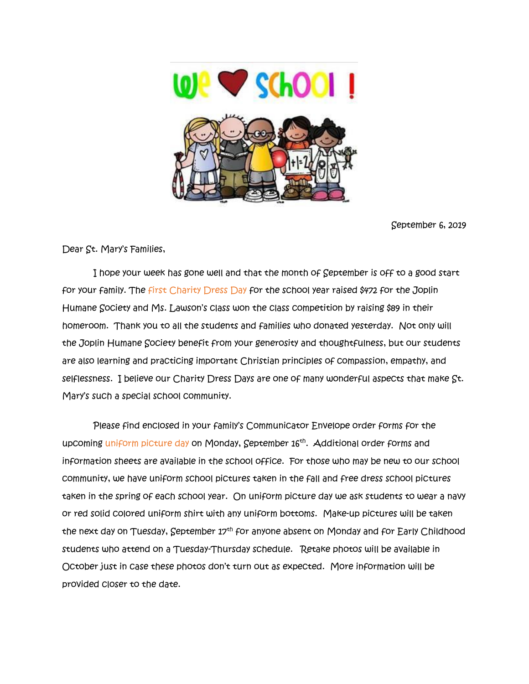

September 6, 2019

Dear St. Mary's Families,

 I hope your week has gone well and that the month of September is off to a good start for your family. The first Charity Dress Day for the school year raised \$472 for the Joplin Humane Society and Ms. Lawson's class won the class competition by raising \$89 in their homeroom. Thank you to all the students and families who donated yesterday. Not only will the Joplin Humane Society benefit from your generosity and thoughtfulness, but our students are also learning and practicing important Christian principles of compassion, empathy, and selflessness. I believe our Charity Dress Days are one of many wonderful aspects that make St. Mary's such a special school community.

 Please find enclosed in your family's Communicator Envelope order forms for the upcoming uniform picture day on Monday, September 16<sup>th</sup>. Additional order forms and information sheets are available in the school office. For those who may be new to our school community, we have uniform school pictures taken in the fall and free dress school pictures taken in the spring of each school year. On uniform picture day we ask students to wear a navy or red solid colored uniform shirt with any uniform bottoms. Make-up pictures will be taken the next day on Tuesday, September 17<sup>th</sup> for anyone absent on Monday and for Early Childhood students who attend on a Tuesday-Thursday schedule. Retake photos will be available in October just in case these photos don't turn out as expected. More information will be provided closer to the date.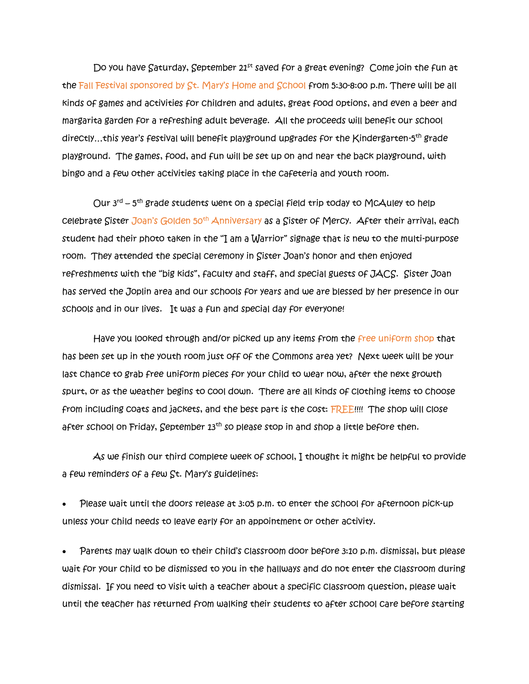Do you have Saturday, September 21<sup>st</sup> saved for a great evening? Come join the fun at the Fall Festival sponsored by St. Mary's Home and School from 5:30-8:00 p.m. There will be all kinds of games and activities for children and adults, great food options, and even a beer and margarita garden for a refreshing adult beverage. All the proceeds will benefit our school directly…this year's festival will benefit playground upgrades for the Kindergarten-5<sup>th</sup> grade playground. The games, food, and fun will be set up on and near the back playground, with bingo and a few other activities taking place in the cafeteria and youth room.

Our 3<sup>rd</sup> – 5<sup>th</sup> grade students went on a special field trip today to McAuley to help celebrate Sister Joan's Golden 50<sup>th</sup> Anniversary as a Sister of Mercy. After their arrival, each student had their photo taken in the "I am a Warrior" signage that is new to the multi-purpose room. They attended the special ceremony in Sister Joan's honor and then enjoyed refreshments with the "big kids", faculty and staff, and special guests of JACS. Sister Joan has served the Joplin area and our schools for years and we are blessed by her presence in our schools and in our lives. It was a fun and special day for everyone!

Have you looked through and/or picked up any items from the free uniform shop that has been set up in the youth room just off of the Commons area yet? Next week will be your last chance to grab free uniform pieces for your child to wear now, after the next growth spurt, or as the weather begins to cool down. There are all kinds of clothing items to choose from including coats and jackets, and the best part is the cost: FREE!!!! The shop will close after school on Friday, September 13<sup>th</sup> so please stop in and shop a little before then.

 As we finish our third complete week of school, I thought it might be helpful to provide a few reminders of a few St. Mary's guidelines:

• Please wait until the doors release at 3:05 p.m. to enter the school for afternoon pick-up unless your child needs to leave early for an appointment or other activity.

• Parents may walk down to their child's classroom door before 3:10 p.m. dismissal, but please wait for your child to be dismissed to you in the hallways and do not enter the classroom during dismissal. If you need to visit with a teacher about a specific classroom question, please wait until the teacher has returned from walking their students to after school care before starting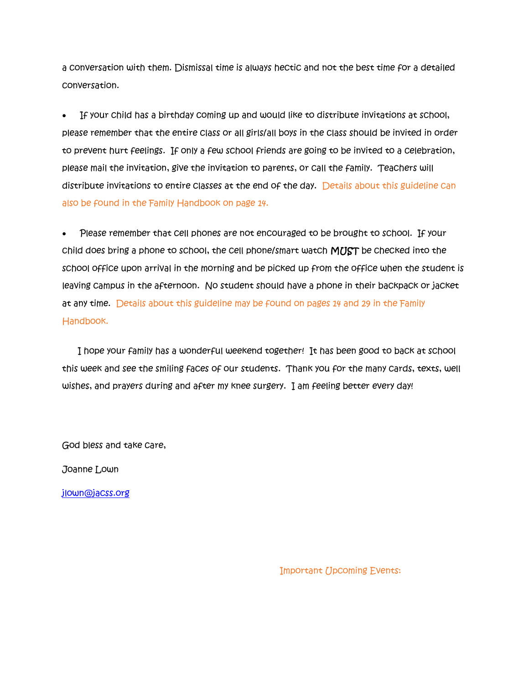a conversation with them. Dismissal time is always hectic and not the best time for a detailed conversation.

• If your child has a birthday coming up and would like to distribute invitations at school, please remember that the entire class or all girls/all boys in the class should be invited in order to prevent hurt feelings. If only a few school friends are going to be invited to a celebration, please mail the invitation, give the invitation to parents, or call the family. Teachers will distribute invitations to entire classes at the end of the day. Details about this guideline can also be found in the Family Handbook on page 14.

• Please remember that cell phones are not encouraged to be brought to school. If your child does bring a phone to school, the cell phone/smart watch MUST be checked into the school office upon arrival in the morning and be picked up from the office when the student is leaving campus in the afternoon. No student should have a phone in their backpack or jacket at any time. Details about this guideline may be found on pages 14 and 29 in the Family Handbook.

I hope your family has a wonderful weekend together! It has been good to back at school this week and see the smiling faces of our students. Thank you for the many cards, texts, well wishes, and prayers during and after my knee surgery. I am feeling better every day!

God bless and take care,

Joanne Lown

[jlown@jacss.org](mailto:jlown@jacss.org)

Important Upcoming Events: